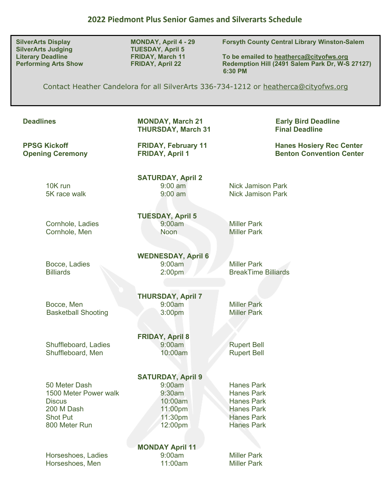**SilverArts Judging TUESDAY, April 5<br>
Literary Deadline TRIDAY, March 11** 

**SilverArts Display MONDAY, April 4 - 29 Forsyth County Central Library Winston-Salem**

To be emailed to **heatherca@cityofws.org Performing Arts Show FRIDAY, April 22 Redemption Hill (2491 Salem Park Dr, W-S 27127) 6:30 PM** 

Contact Heather Candelora for all SilverArts 336-734-1212 or [heatherca@cityofws.org](mailto:heatherca@cityofws.org)

| <b>Deadlines</b>                                                                                          | <b>MONDAY, March 21</b><br><b>THURSDAY, March 31</b>                                     | <b>Early Bird Deadline</b><br><b>Final Deadline</b>                                                                        |
|-----------------------------------------------------------------------------------------------------------|------------------------------------------------------------------------------------------|----------------------------------------------------------------------------------------------------------------------------|
| <b>PPSG Kickoff</b><br><b>Opening Ceremony</b>                                                            | <b>FRIDAY, February 11</b><br><b>FRIDAY, April 1</b>                                     | <b>Hanes Hosiery Rec Center</b><br><b>Benton Convention Center</b>                                                         |
| 10K run<br>5K race walk                                                                                   | <b>SATURDAY, April 2</b><br>$9:00$ am<br>$9:00$ am                                       | <b>Nick Jamison Park</b><br><b>Nick Jamison Park</b>                                                                       |
| Cornhole, Ladies<br>Cornhole, Men                                                                         | <b>TUESDAY, April 5</b><br>9:00am<br><b>Noon</b>                                         | <b>Miller Park</b><br><b>Miller Park</b>                                                                                   |
| Bocce, Ladies<br><b>Billiards</b>                                                                         | <b>WEDNESDAY, April 6</b><br>9:00am<br>2:00 <sub>pm</sub>                                | <b>Miller Park</b><br><b>BreakTime Billiards</b>                                                                           |
| Bocce, Men<br><b>Basketball Shooting</b>                                                                  | <b>THURSDAY, April 7</b><br>9:00am<br>3:00pm                                             | <b>Miller Park</b><br><b>Miller Park</b>                                                                                   |
| Shuffleboard, Ladies<br>Shuffleboard, Men                                                                 | <b>FRIDAY, April 8</b><br>9:00am<br>10:00am                                              | <b>Rupert Bell</b><br><b>Rupert Bell</b>                                                                                   |
| 50 Meter Dash<br>1500 Meter Power walk<br><b>Discus</b><br>200 M Dash<br><b>Shot Put</b><br>800 Meter Run | <b>SATURDAY, April 9</b><br>9:00am<br>9:30am<br>10:00am<br>11:00pm<br>11:30pm<br>12:00pm | <b>Hanes Park</b><br><b>Hanes Park</b><br><b>Hanes Park</b><br><b>Hanes Park</b><br><b>Hanes Park</b><br><b>Hanes Park</b> |
| Horseshoes, Ladies<br>Horseshoes, Men                                                                     | <b>MONDAY April 11</b><br>9:00am<br>11:00am                                              | <b>Miller Park</b><br><b>Miller Park</b>                                                                                   |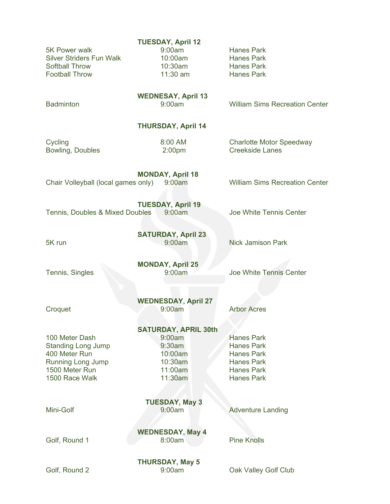|                                                  | <b>TUESDAY, April 12</b>    |                                        |  |  |
|--------------------------------------------------|-----------------------------|----------------------------------------|--|--|
| 5K Power walk<br><b>Silver Striders Fun Walk</b> | 9:00am<br>10:00am           | <b>Hanes Park</b>                      |  |  |
| <b>Softball Throw</b>                            | 10:30am                     | <b>Hanes Park</b><br><b>Hanes Park</b> |  |  |
| <b>Football Throw</b>                            | 11:30 am                    | <b>Hanes Park</b>                      |  |  |
|                                                  |                             |                                        |  |  |
| <b>WEDNESAY, April 13</b>                        |                             |                                        |  |  |
| <b>Badminton</b>                                 | 9:00am                      | <b>William Sims Recreation Center</b>  |  |  |
|                                                  |                             |                                        |  |  |
|                                                  | <b>THURSDAY, April 14</b>   |                                        |  |  |
| Cycling                                          | 8:00 AM                     | <b>Charlotte Motor Speedway</b>        |  |  |
| Bowling, Doubles                                 | 2:00 <sub>pm</sub>          | <b>Creekside Lanes</b>                 |  |  |
|                                                  |                             |                                        |  |  |
|                                                  | <b>MONDAY, April 18</b>     |                                        |  |  |
| Chair Volleyball (local games only)              | 9:00am                      | <b>William Sims Recreation Center</b>  |  |  |
|                                                  | <b>TUESDAY, April 19</b>    |                                        |  |  |
| Tennis, Doubles & Mixed Doubles                  | 9:00am                      | Joe White Tennis Center                |  |  |
|                                                  |                             |                                        |  |  |
|                                                  | <b>SATURDAY, April 23</b>   |                                        |  |  |
| 5K run                                           | 9:00am                      | <b>Nick Jamison Park</b>               |  |  |
|                                                  |                             |                                        |  |  |
|                                                  | <b>MONDAY, April 25</b>     |                                        |  |  |
| Tennis, Singles                                  | 9:00am                      | Joe White Tennis Center                |  |  |
|                                                  |                             |                                        |  |  |
|                                                  | <b>WEDNESDAY, April 27</b>  |                                        |  |  |
| Croquet                                          | 9:00am                      | <b>Arbor Acres</b>                     |  |  |
|                                                  |                             |                                        |  |  |
|                                                  | <b>SATURDAY, APRIL 30th</b> |                                        |  |  |
| 100 Meter Dash                                   | 9:00am                      | <b>Hanes Park</b>                      |  |  |
| <b>Standing Long Jump</b>                        | $9:30$ am                   | <b>Hanes Park</b>                      |  |  |
| 400 Meter Run                                    | 10:00am                     | <b>Hanes Park</b>                      |  |  |
| <b>Running Long Jump</b>                         | 10:30am                     | <b>Hanes Park</b>                      |  |  |
| 1500 Meter Run                                   | 11:00am                     | <b>Hanes Park</b>                      |  |  |
| 1500 Race Walk                                   | 11:30am                     | <b>Hanes Park</b>                      |  |  |
| <b>TUESDAY, May 3</b>                            |                             |                                        |  |  |
| Mini-Golf                                        | 9:00am                      | <b>Adventure Landing</b>               |  |  |
|                                                  |                             |                                        |  |  |
| <b>WEDNESDAY, May 4</b>                          |                             |                                        |  |  |
| Golf, Round 1                                    | 8:00am                      | <b>Pine Knolls</b>                     |  |  |
|                                                  |                             |                                        |  |  |
| <b>THURSDAY, May 5</b>                           |                             |                                        |  |  |
| Golf, Round 2                                    | 9:00am                      | Oak Valley Golf Club                   |  |  |
|                                                  |                             |                                        |  |  |